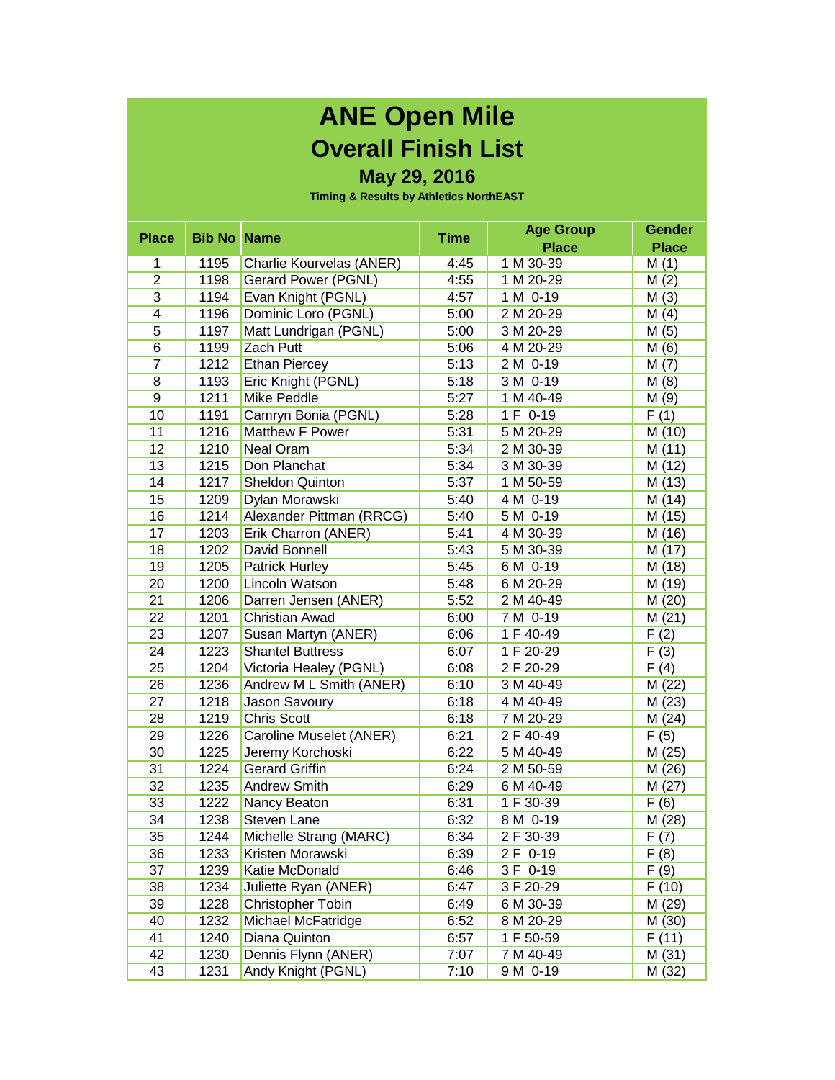## **ANE Open Mile Overall Finish List**

## **May 29, 2016**

**Timing & Results by Athletics NorthEAST**

| <b>Place</b>            | <b>Bib No Name</b> |                          | <b>Time</b> | <b>Age Group</b> | <b>Gender</b> |
|-------------------------|--------------------|--------------------------|-------------|------------------|---------------|
|                         |                    |                          |             | <b>Place</b>     | <b>Place</b>  |
| 1                       | 1195               | Charlie Kourvelas (ANER) | 4:45        | 1 M 30-39        | M(1)          |
| $\overline{2}$          | 1198               | Gerard Power (PGNL)      | 4:55        | 1 M 20-29        | M(2)          |
| 3                       | 1194               | Evan Knight (PGNL)       | 4:57        | 1 M 0-19         | M(3)          |
| $\overline{\mathbf{4}}$ | 1196               | Dominic Loro (PGNL)      | 5:00        | 2 M 20-29        | M(4)          |
| 5                       | 1197               | Matt Lundrigan (PGNL)    | 5:00        | 3 M 20-29        | M(5)          |
| $6\overline{6}$         | 1199               | Zach Putt                | 5:06        | 4 M 20-29        | M(6)          |
| $\overline{7}$          | 1212               | <b>Ethan Piercey</b>     | 5:13        | 2 M 0-19         | M(7)          |
| 8                       | 1193               | Eric Knight (PGNL)       | 5:18        | 3 M 0-19         | M(8)          |
| 9                       | 1211               | Mike Peddle              | 5:27        | 1 M 40-49        | M(9)          |
| 10                      | 1191               | Camryn Bonia (PGNL)      | 5:28        | 1 F 0-19         | F(1)          |
| 11                      | 1216               | Matthew F Power          | 5:31        | 5 M 20-29        | M (10)        |
| 12                      | 1210               | Neal Oram                | 5:34        | 2 M 30-39        | M (11)        |
| 13                      | 1215               | Don Planchat             | 5:34        | 3 M 30-39        | M (12)        |
| 14                      | 1217               | <b>Sheldon Quinton</b>   | 5:37        | 1 M 50-59        | M (13)        |
| 15                      | 1209               | Dylan Morawski           | 5:40        | 4 M 0-19         | M (14)        |
| 16                      | 1214               | Alexander Pittman (RRCG) | 5:40        | 5 M 0-19         | M (15)        |
| 17                      | 1203               | Erik Charron (ANER)      | 5:41        | 4 M 30-39        | M (16)        |
| 18                      | 1202               | David Bonnell            | 5:43        | 5 M 30-39        | M (17)        |
| 19                      | 1205               | <b>Patrick Hurley</b>    | 5:45        | 6 M 0-19         | M (18)        |
| 20                      | 1200               | Lincoln Watson           | 5:48        | 6 M 20-29        | M (19)        |
| 21                      | 1206               | Darren Jensen (ANER)     | 5:52        | 2 M 40-49        | M (20)        |
| 22                      | 1201               | Christian Awad           | 6:00        | 7 M 0-19         | M(21)         |
| 23                      | 1207               | Susan Martyn (ANER)      | 6:06        | 1 F 40-49        | F(2)          |
| 24                      | 1223               | <b>Shantel Buttress</b>  | 6:07        | 1 F 20-29        | F(3)          |
| 25                      | 1204               | Victoria Healey (PGNL)   | 6:08        | 2 F 20-29        | F(4)          |
| 26                      | 1236               | Andrew M L Smith (ANER)  | 6:10        | 3 M 40-49        | M (22)        |
| 27                      | 1218               | Jason Savoury            | 6:18        | 4 M 40-49        | M(23)         |
| 28                      | 1219               | <b>Chris Scott</b>       | 6:18        | 7 M 20-29        | M(24)         |
| 29                      | 1226               | Caroline Muselet (ANER)  | 6:21        | 2 F 40-49        | F(5)          |
| 30                      | 1225               | Jeremy Korchoski         | 6:22        | 5 M 40-49        | M (25)        |
| 31                      | 1224               | <b>Gerard Griffin</b>    | 6:24        | 2 M 50-59        | M (26)        |
| 32                      | 1235               | <b>Andrew Smith</b>      | 6:29        | 6 M 40-49        | M(27)         |
| 33                      | 1222               | Nancy Beaton             | 6:31        | 1 F 30-39        | F(6)          |
| 34                      | 1238               | Steven Lane              | 6:32        | 8 M 0-19         | M (28)        |
| 35                      | 1244               | Michelle Strang (MARC)   | 6:34        | 2 F 30-39        | F(7)          |
| 36                      | 1233               | Kristen Morawski         | 6:39        | 2 F 0-19         | F(8)          |
| 37                      | 1239               | Katie McDonald           | 6:46        | 3 F 0-19         | F(9)          |
| 38                      | 1234               | Juliette Ryan (ANER)     | 6:47        | 3 F 20-29        | F(10)         |
| 39                      | 1228               | Christopher Tobin        | 6:49        | 6 M 30-39        | M (29)        |
| 40                      | 1232               | Michael McFatridge       | 6:52        | 8 M 20-29        | M (30)        |
| 41                      | 1240               | Diana Quinton            | 6:57        | 1 F 50-59        | F(11)         |
| 42                      | 1230               | Dennis Flynn (ANER)      | 7:07        | 7 M 40-49        | M (31)        |
| 43                      | 1231               | Andy Knight (PGNL)       | 7:10        | 9 M 0-19         | M (32)        |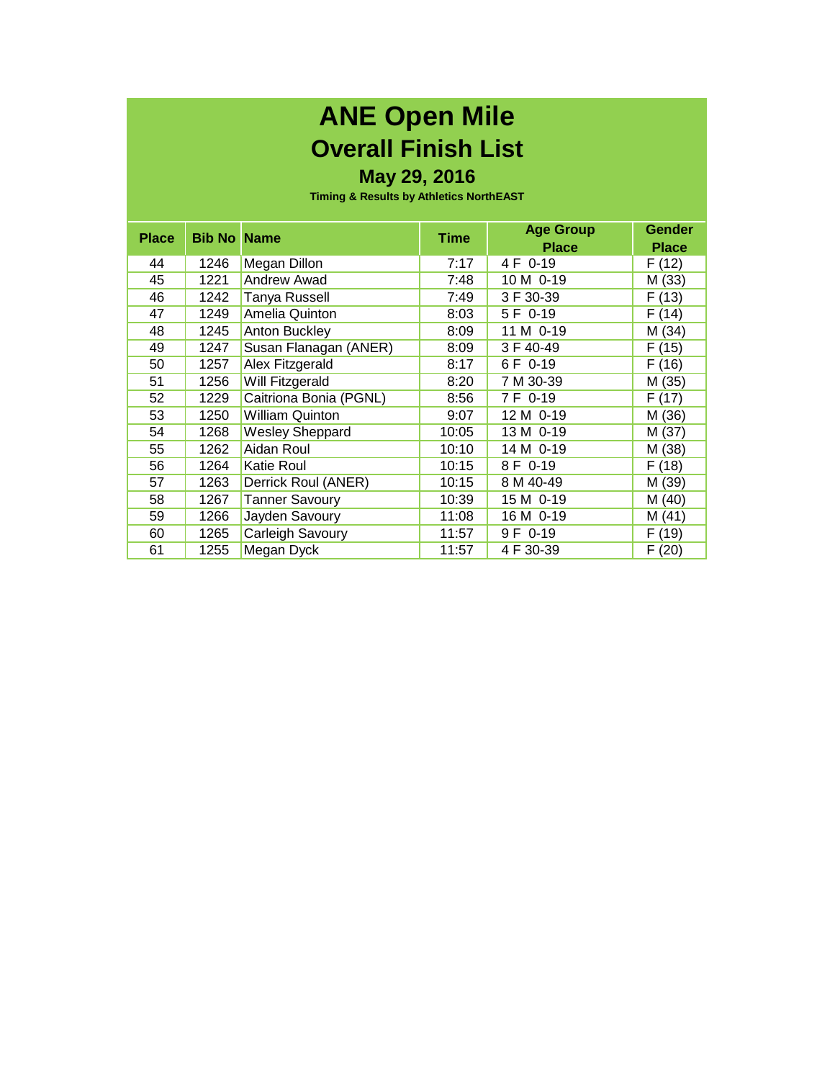## **ANE Open Mile Overall Finish List**

## **May 29, 2016**

**Timing & Results by Athletics NorthEAST**

| <b>Place</b> | <b>Bib No Name</b> |                        | Time  | <b>Age Group</b><br><b>Place</b> | <b>Gender</b><br><b>Place</b> |
|--------------|--------------------|------------------------|-------|----------------------------------|-------------------------------|
| 44           | 1246               | Megan Dillon           | 7:17  | 4 F 0-19                         | F (12)                        |
| 45           | 1221               | <b>Andrew Awad</b>     | 7:48  | 10 M 0-19                        | M (33)                        |
| 46           | 1242               | <b>Tanya Russell</b>   | 7:49  | 3 F 30-39                        | F(13)                         |
| 47           | 1249               | <b>Amelia Quinton</b>  | 8:03  | 5 F 0-19                         | F(14)                         |
| 48           | 1245               | Anton Buckley          | 8:09  | 11 M 0-19                        | M (34)                        |
| 49           | 1247               | Susan Flanagan (ANER)  | 8:09  | 3 F 40-49                        | F(15)                         |
| 50           | 1257               | Alex Fitzgerald        | 8:17  | 6 F 0-19                         | F(16)                         |
| 51           | 1256               | Will Fitzgerald        | 8:20  | 7 M 30-39                        | M (35)                        |
| 52           | 1229               | Caitriona Bonia (PGNL) | 8:56  | 7 F 0-19                         | F(17)                         |
| 53           | 1250               | <b>William Quinton</b> | 9:07  | 12 M 0-19                        | M (36)                        |
| 54           | 1268               | <b>Wesley Sheppard</b> | 10:05 | 13 M 0-19                        | M (37)                        |
| 55           | 1262               | Aidan Roul             | 10:10 | 14 M 0-19                        | M (38)                        |
| 56           | 1264               | <b>Katie Roul</b>      | 10:15 | 8 F 0-19                         | F(18)                         |
| 57           | 1263               | Derrick Roul (ANER)    | 10:15 | 8 M 40-49                        | M (39)                        |
| 58           | 1267               | <b>Tanner Savoury</b>  | 10:39 | 15 M 0-19                        | M (40)                        |
| 59           | 1266               | Jayden Savoury         | 11:08 | 16 M 0-19                        | M (41)                        |
| 60           | 1265               | Carleigh Savoury       | 11:57 | 9 F 0-19                         | F(19)                         |
| 61           | 1255               | Megan Dyck             | 11:57 | 4 F 30-39                        | F(20)                         |